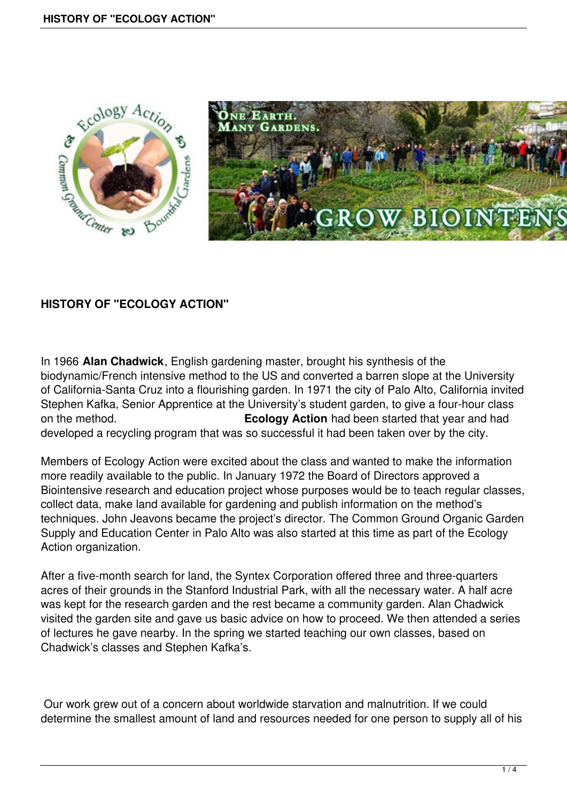

## **HISTORY OF "ECOLOGY ACTION"**

In 1966 **Alan Chadwick**, English gardening master, brought his synthesis of the biodynamic/French intensive method to the US and converted a barren slope at the University of California-Santa Cruz into a flourishing garden. In 1971 the city of Palo Alto, California invited Stephen Kafka, Senior Apprentice at the University's student garden, to give a four-hour class on the method. **Ecology Action** had been started that year and had developed a recycling program that was so successful it had been taken over by the city.

Members of Ecology Action were excited about the class and wanted to make the information more readily available to the public. In January 1972 the Board of Directors approved a Biointensive research and education project whose purposes would be to teach regular classes, collect data, make land available for gardening and publish information on the method's techniques. John Jeavons became the project's director. The Common Ground Organic Garden Supply and Education Center in Palo Alto was also started at this time as part of the Ecology Action organization.

After a five-month search for land, the Syntex Corporation offered three and three-quarters acres of their grounds in the Stanford Industrial Park, with all the necessary water. A half acre was kept for the research garden and the rest became a community garden. Alan Chadwick visited the garden site and gave us basic advice on how to proceed. We then attended a series of lectures he gave nearby. In the spring we started teaching our own classes, based on Chadwick's classes and Stephen Kafka's.

 Our work grew out of a concern about worldwide starvation and malnutrition. If we could determine the smallest amount of land and resources needed for one person to supply all of his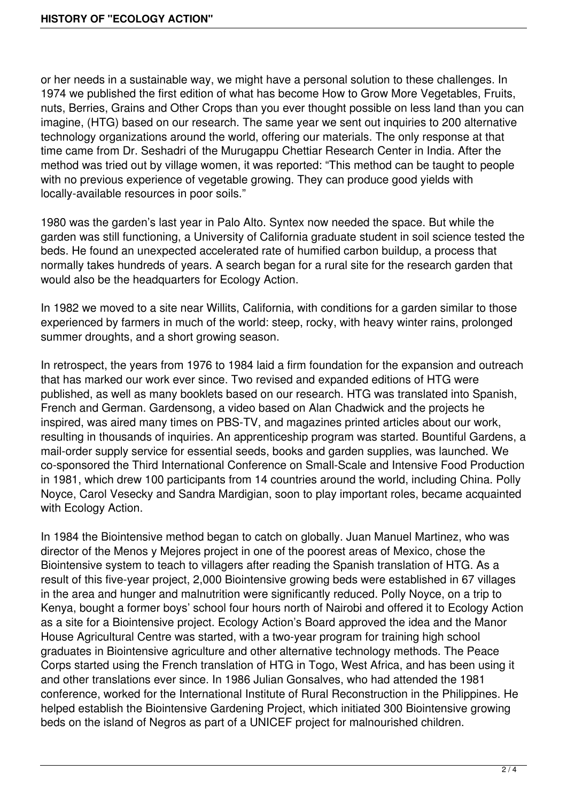or her needs in a sustainable way, we might have a personal solution to these challenges. In 1974 we published the first edition of what has become How to Grow More Vegetables, Fruits, nuts, Berries, Grains and Other Crops than you ever thought possible on less land than you can imagine, (HTG) based on our research. The same year we sent out inquiries to 200 alternative technology organizations around the world, offering our materials. The only response at that time came from Dr. Seshadri of the Murugappu Chettiar Research Center in India. After the method was tried out by village women, it was reported: "This method can be taught to people with no previous experience of vegetable growing. They can produce good yields with locally-available resources in poor soils."

1980 was the garden's last year in Palo Alto. Syntex now needed the space. But while the garden was still functioning, a University of California graduate student in soil science tested the beds. He found an unexpected accelerated rate of humified carbon buildup, a process that normally takes hundreds of years. A search began for a rural site for the research garden that would also be the headquarters for Ecology Action.

In 1982 we moved to a site near Willits, California, with conditions for a garden similar to those experienced by farmers in much of the world: steep, rocky, with heavy winter rains, prolonged summer droughts, and a short growing season.

In retrospect, the years from 1976 to 1984 laid a firm foundation for the expansion and outreach that has marked our work ever since. Two revised and expanded editions of HTG were published, as well as many booklets based on our research. HTG was translated into Spanish, French and German. Gardensong, a video based on Alan Chadwick and the projects he inspired, was aired many times on PBS-TV, and magazines printed articles about our work, resulting in thousands of inquiries. An apprenticeship program was started. Bountiful Gardens, a mail-order supply service for essential seeds, books and garden supplies, was launched. We co-sponsored the Third International Conference on Small-Scale and Intensive Food Production in 1981, which drew 100 participants from 14 countries around the world, including China. Polly Noyce, Carol Vesecky and Sandra Mardigian, soon to play important roles, became acquainted with Ecology Action.

In 1984 the Biointensive method began to catch on globally. Juan Manuel Martinez, who was director of the Menos y Mejores project in one of the poorest areas of Mexico, chose the Biointensive system to teach to villagers after reading the Spanish translation of HTG. As a result of this five-year project, 2,000 Biointensive growing beds were established in 67 villages in the area and hunger and malnutrition were significantly reduced. Polly Noyce, on a trip to Kenya, bought a former boys' school four hours north of Nairobi and offered it to Ecology Action as a site for a Biointensive project. Ecology Action's Board approved the idea and the Manor House Agricultural Centre was started, with a two-year program for training high school graduates in Biointensive agriculture and other alternative technology methods. The Peace Corps started using the French translation of HTG in Togo, West Africa, and has been using it and other translations ever since. In 1986 Julian Gonsalves, who had attended the 1981 conference, worked for the International Institute of Rural Reconstruction in the Philippines. He helped establish the Biointensive Gardening Project, which initiated 300 Biointensive growing beds on the island of Negros as part of a UNICEF project for malnourished children.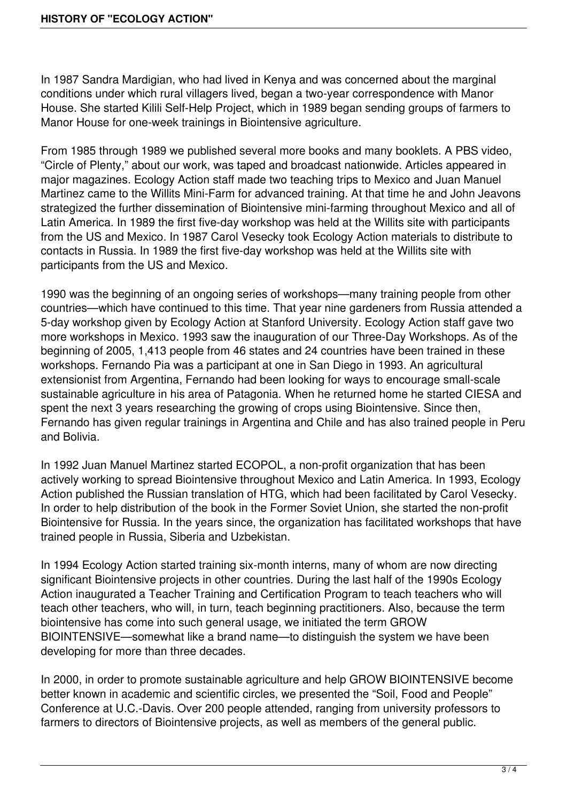In 1987 Sandra Mardigian, who had lived in Kenya and was concerned about the marginal conditions under which rural villagers lived, began a two-year correspondence with Manor House. She started Kilili Self-Help Project, which in 1989 began sending groups of farmers to Manor House for one-week trainings in Biointensive agriculture.

From 1985 through 1989 we published several more books and many booklets. A PBS video, "Circle of Plenty," about our work, was taped and broadcast nationwide. Articles appeared in major magazines. Ecology Action staff made two teaching trips to Mexico and Juan Manuel Martinez came to the Willits Mini-Farm for advanced training. At that time he and John Jeavons strategized the further dissemination of Biointensive mini-farming throughout Mexico and all of Latin America. In 1989 the first five-day workshop was held at the Willits site with participants from the US and Mexico. In 1987 Carol Vesecky took Ecology Action materials to distribute to contacts in Russia. In 1989 the first five-day workshop was held at the Willits site with participants from the US and Mexico.

1990 was the beginning of an ongoing series of workshops—many training people from other countries—which have continued to this time. That year nine gardeners from Russia attended a 5-day workshop given by Ecology Action at Stanford University. Ecology Action staff gave two more workshops in Mexico. 1993 saw the inauguration of our Three-Day Workshops. As of the beginning of 2005, 1,413 people from 46 states and 24 countries have been trained in these workshops. Fernando Pia was a participant at one in San Diego in 1993. An agricultural extensionist from Argentina, Fernando had been looking for ways to encourage small-scale sustainable agriculture in his area of Patagonia. When he returned home he started CIESA and spent the next 3 years researching the growing of crops using Biointensive. Since then, Fernando has given regular trainings in Argentina and Chile and has also trained people in Peru and Bolivia.

In 1992 Juan Manuel Martinez started ECOPOL, a non-profit organization that has been actively working to spread Biointensive throughout Mexico and Latin America. In 1993, Ecology Action published the Russian translation of HTG, which had been facilitated by Carol Vesecky. In order to help distribution of the book in the Former Soviet Union, she started the non-profit Biointensive for Russia. In the years since, the organization has facilitated workshops that have trained people in Russia, Siberia and Uzbekistan.

In 1994 Ecology Action started training six-month interns, many of whom are now directing significant Biointensive projects in other countries. During the last half of the 1990s Ecology Action inaugurated a Teacher Training and Certification Program to teach teachers who will teach other teachers, who will, in turn, teach beginning practitioners. Also, because the term biointensive has come into such general usage, we initiated the term GROW BIOINTENSIVE—somewhat like a brand name—to distinguish the system we have been developing for more than three decades.

In 2000, in order to promote sustainable agriculture and help GROW BIOINTENSIVE become better known in academic and scientific circles, we presented the "Soil, Food and People" Conference at U.C.-Davis. Over 200 people attended, ranging from university professors to farmers to directors of Biointensive projects, as well as members of the general public.